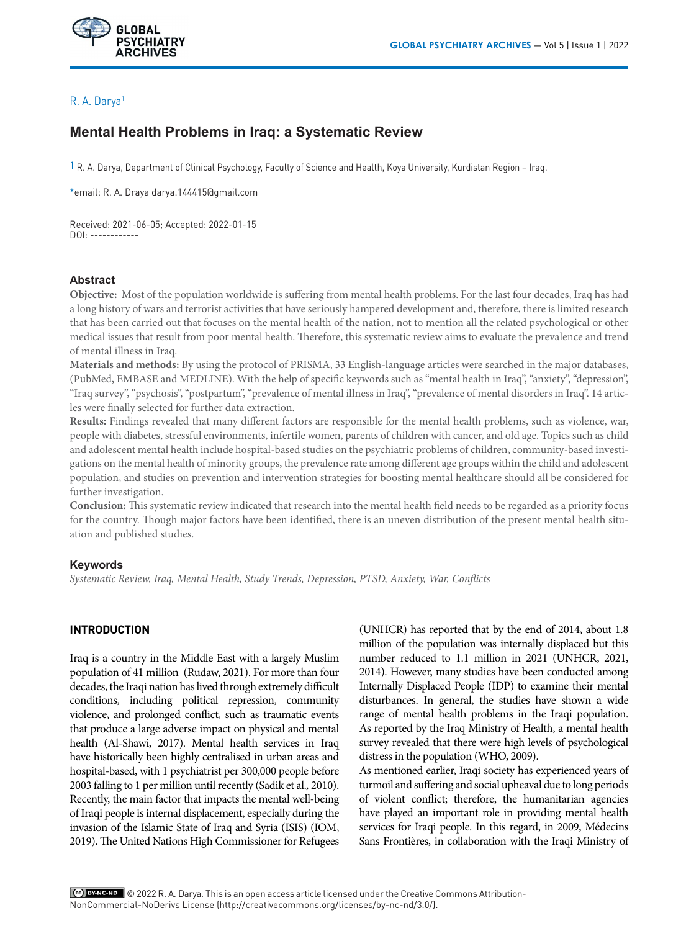

# R. A. Darya1

# **Mental Health Problems in Iraq: a Systematic Review**

 $1$  R. A. Darya, Department of Clinical Psychology, Faculty of Science and Health, Koya University, Kurdistan Region – Iraq.

\*email: R. A. Draya darya.144415@gmail.com

Received: 2021-06-05; Accepted: 2022-01-15 DOI: ------------

#### **Abstract**

**Objective:** Most of the population worldwide is suffering from mental health problems. For the last four decades, Iraq has had a long history of wars and terrorist activities that have seriously hampered development and, therefore, there is limited research that has been carried out that focuses on the mental health of the nation, not to mention all the related psychological or other medical issues that result from poor mental health. Therefore, this systematic review aims to evaluate the prevalence and trend of mental illness in Iraq.

**Materials and methods:** By using the protocol of PRISMA, 33 English-language articles were searched in the major databases, (PubMed, EMBASE and MEDLINE). With the help of specific keywords such as "mental health in Iraq", "anxiety", "depression", "Iraq survey", "psychosis", "postpartum", "prevalence of mental illness in Iraq", "prevalence of mental disorders in Iraq". 14 articles were finally selected for further data extraction.

**Results:** Findings revealed that many different factors are responsible for the mental health problems, such as violence, war, people with diabetes, stressful environments, infertile women, parents of children with cancer, and old age. Topics such as child and adolescent mental health include hospital-based studies on the psychiatric problems of children, community-based investigations on the mental health of minority groups, the prevalence rate among different age groups within the child and adolescent population, and studies on prevention and intervention strategies for boosting mental healthcare should all be considered for further investigation.

**Conclusion:** This systematic review indicated that research into the mental health field needs to be regarded as a priority focus for the country. Though major factors have been identified, there is an uneven distribution of the present mental health situation and published studies.

## **Keywords**

*Systematic Review, Iraq, Mental Health, Study Trends, Depression, PTSD, Anxiety, War, Conflicts*

## **INTRODUCTION**

Iraq is a country in the Middle East with a largely Muslim population of 41 million (Rudaw, 2021). For more than four decades, the Iraqi nation has lived through extremely difficult conditions, including political repression, community violence, and prolonged conflict, such as traumatic events that produce a large adverse impact on physical and mental health (Al-Shawi, 2017). Mental health services in Iraq have historically been highly centralised in urban areas and hospital-based, with 1 psychiatrist per 300,000 people before 2003 falling to 1 per million until recently (Sadik et al.*,* 2010). Recently, the main factor that impacts the mental well-being of Iraqi people is internal displacement, especially during the invasion of the Islamic State of Iraq and Syria (ISIS) (IOM, 2019). The United Nations High Commissioner for Refugees (UNHCR) has reported that by the end of 2014, about 1.8 million of the population was internally displaced but this number reduced to 1.1 million in 2021 (UNHCR, 2021, 2014). However, many studies have been conducted among Internally Displaced People (IDP) to examine their mental disturbances. In general, the studies have shown a wide range of mental health problems in the Iraqi population. As reported by the Iraq Ministry of Health, a mental health survey revealed that there were high levels of psychological distress in the population (WHO, 2009).

As mentioned earlier, Iraqi society has experienced years of turmoil and suffering and social upheaval due to long periods of violent conflict; therefore, the humanitarian agencies have played an important role in providing mental health services for Iraqi people. In this regard, in 2009, Médecins Sans Frontières, in collaboration with the Iraqi Ministry of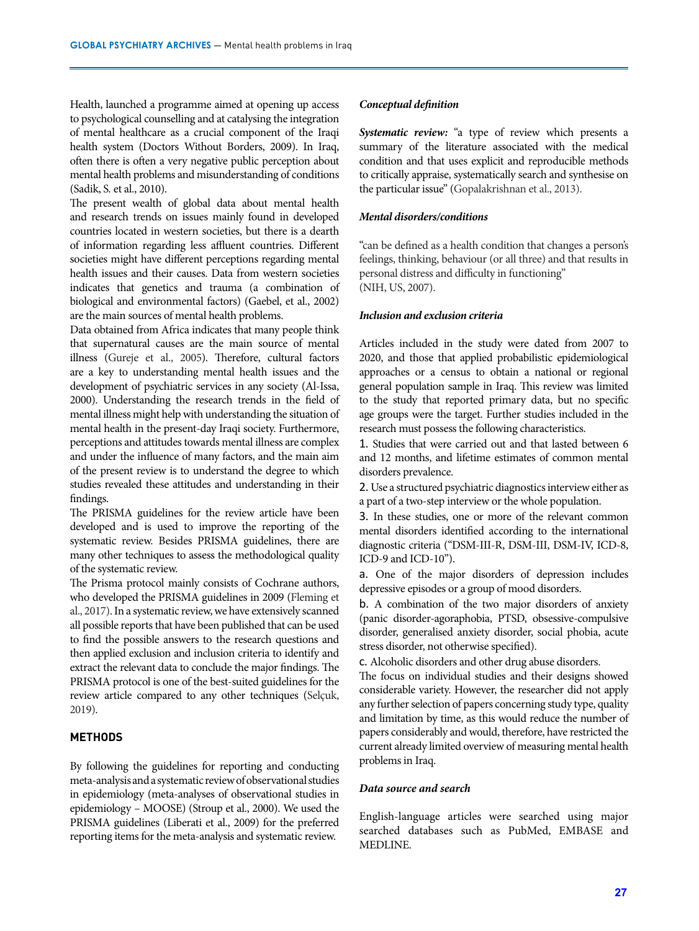Health, launched a programme aimed at opening up access to psychological counselling and at catalysing the integration of mental healthcare as a crucial component of the Iraqi health system (Doctors Without Borders, 2009). In Iraq, often there is often a very negative public perception about mental health problems and misunderstanding of conditions (Sadik, S*.* et al., 2010).

The present wealth of global data about mental health and research trends on issues mainly found in developed countries located in western societies, but there is a dearth of information regarding less affluent countries. Different societies might have different perceptions regarding mental health issues and their causes. Data from western societies indicates that genetics and trauma (a combination of biological and environmental factors) (Gaebel, et al., 2002) are the main sources of mental health problems.

Data obtained from Africa indicates that many people think that supernatural causes are the main source of mental illness (Gureje et al., 2005). Therefore, cultural factors are a key to understanding mental health issues and the development of psychiatric services in any society (Al-Issa, 2000). Understanding the research trends in the field of mental illness might help with understanding the situation of mental health in the present-day Iraqi society. Furthermore, perceptions and attitudes towards mental illness are complex and under the influence of many factors, and the main aim of the present review is to understand the degree to which studies revealed these attitudes and understanding in their findings.

The PRISMA guidelines for the review article have been developed and is used to improve the reporting of the systematic review. Besides PRISMA guidelines, there are many other techniques to assess the methodological quality of the systematic review.

The Prisma protocol mainly consists of Cochrane authors, who developed the PRISMA guidelines in 2009 (Fleming et al., 2017). In a systematic review, we have extensively scanned all possible reports that have been published that can be used to find the possible answers to the research questions and then applied exclusion and inclusion criteria to identify and extract the relevant data to conclude the major findings. The PRISMA protocol is one of the best-suited guidelines for the review article compared to any other techniques (Selçuk, 2019).

# **METHODS**

By following the guidelines for reporting and conducting meta-analysis and a systematic review of observational studies in epidemiology (meta-analyses of observational studies in epidemiology – MOOSE) (Stroup et al., 2000). We used the PRISMA guidelines (Liberati et al., 2009) for the preferred reporting items for the meta-analysis and systematic review.

#### *Conceptual definition*

*Systematic review:* "a type of review which presents a summary of the literature associated with the medical condition and that uses explicit and reproducible methods to critically appraise, systematically search and synthesise on the particular issue" (Gopalakrishnan et al., 2013).

# *Mental disorders/conditions*

"can be defined as a health condition that changes a person's feelings, thinking, behaviour (or all three) and that results in personal distress and difficulty in functioning" (NIH, US, 2007).

#### *Inclusion and exclusion criteria*

Articles included in the study were dated from 2007 to 2020, and those that applied probabilistic epidemiological approaches or a census to obtain a national or regional general population sample in Iraq. This review was limited to the study that reported primary data, but no specific age groups were the target. Further studies included in the research must possess the following characteristics.

1. Studies that were carried out and that lasted between 6 and 12 months, and lifetime estimates of common mental disorders prevalence.

2. Use a structured psychiatric diagnostics interview either as a part of a two-step interview or the whole population.

3. In these studies, one or more of the relevant common mental disorders identified according to the international diagnostic criteria ("DSM-III-R, DSM-III, DSM-IV, ICD-8, ICD-9 and ICD-10").

a. One of the major disorders of depression includes depressive episodes or a group of mood disorders.

b. A combination of the two major disorders of anxiety (panic disorder-agoraphobia, PTSD, obsessive-compulsive disorder, generalised anxiety disorder, social phobia, acute stress disorder, not otherwise specified).

c. Alcoholic disorders and other drug abuse disorders.

The focus on individual studies and their designs showed considerable variety. However, the researcher did not apply any further selection of papers concerning study type, quality and limitation by time, as this would reduce the number of papers considerably and would, therefore, have restricted the current already limited overview of measuring mental health problems in Iraq.

#### *Data source and search*

English-language articles were searched using major searched databases such as PubMed, EMBASE and MEDLINE.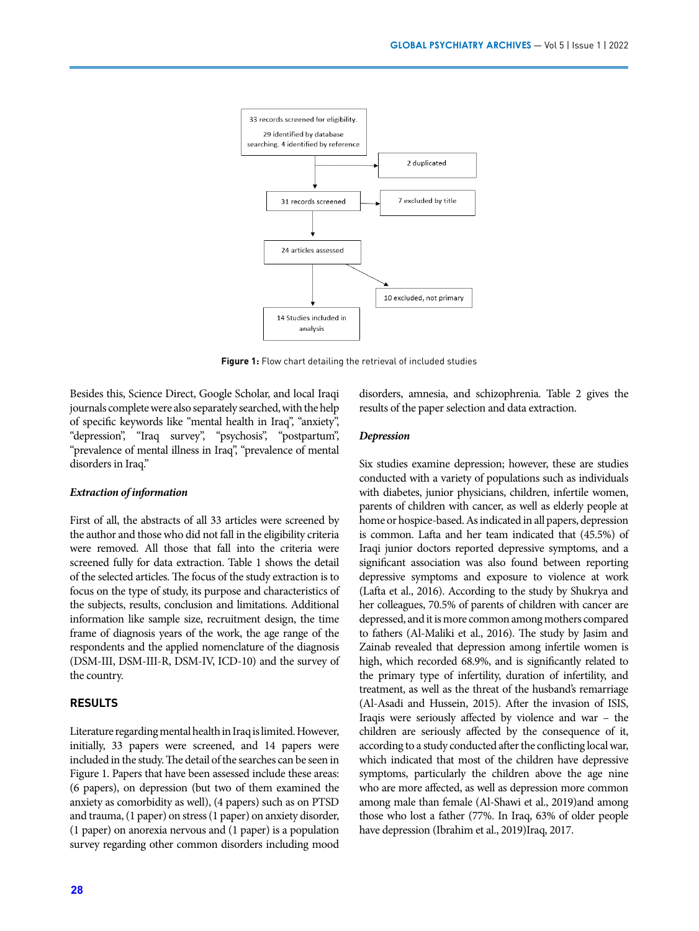

**Figure 1:** Flow chart detailing the retrieval of included studies

Besides this, Science Direct, Google Scholar, and local Iraqi journals complete were also separately searched, with the help of specific keywords like "mental health in Iraq", "anxiety", "depression", "Iraq survey", "psychosis", "postpartum", "prevalence of mental illness in Iraq", "prevalence of mental disorders in Iraq."

#### *Extraction of information*

First of all, the abstracts of all 33 articles were screened by the author and those who did not fall in the eligibility criteria were removed. All those that fall into the criteria were screened fully for data extraction. Table 1 shows the detail of the selected articles. The focus of the study extraction is to focus on the type of study, its purpose and characteristics of the subjects, results, conclusion and limitations. Additional information like sample size, recruitment design, the time frame of diagnosis years of the work, the age range of the respondents and the applied nomenclature of the diagnosis (DSM-III, DSM-III-R, DSM-IV, ICD-10) and the survey of the country.

#### **RESULTS**

Literature regarding mental health in Iraq is limited. However, initially, 33 papers were screened, and 14 papers were included in the study. The detail of the searches can be seen in Figure 1. Papers that have been assessed include these areas: (6 papers), on depression (but two of them examined the anxiety as comorbidity as well), (4 papers) such as on PTSD and trauma, (1 paper) on stress (1 paper) on anxiety disorder, (1 paper) on anorexia nervous and (1 paper) is a population survey regarding other common disorders including mood disorders, amnesia, and schizophrenia. Table 2 gives the results of the paper selection and data extraction.

#### *Depression*

Six studies examine depression; however, these are studies conducted with a variety of populations such as individuals with diabetes, junior physicians, children, infertile women, parents of children with cancer, as well as elderly people at home or hospice-based. As indicated in all papers, depression is common. Lafta and her team indicated that (45.5%) of Iraqi junior doctors reported depressive symptoms, and a significant association was also found between reporting depressive symptoms and exposure to violence at work (Lafta et al., 2016). According to the study by Shukrya and her colleagues, 70.5% of parents of children with cancer are depressed, and it is more common among mothers compared to fathers (Al-Maliki et al., 2016). The study by Jasim and Zainab revealed that depression among infertile women is high, which recorded 68.9%, and is significantly related to the primary type of infertility, duration of infertility, and treatment, as well as the threat of the husband's remarriage (Al-Asadi and Hussein, 2015). After the invasion of ISIS, Iraqis were seriously affected by violence and war – the children are seriously affected by the consequence of it, according to a study conducted after the conflicting local war, which indicated that most of the children have depressive symptoms, particularly the children above the age nine who are more affected, as well as depression more common among male than female (Al-Shawi et al., 2019)and among those who lost a father (77%. In Iraq, 63% of older people have depression (Ibrahim et al., 2019)Iraq, 2017.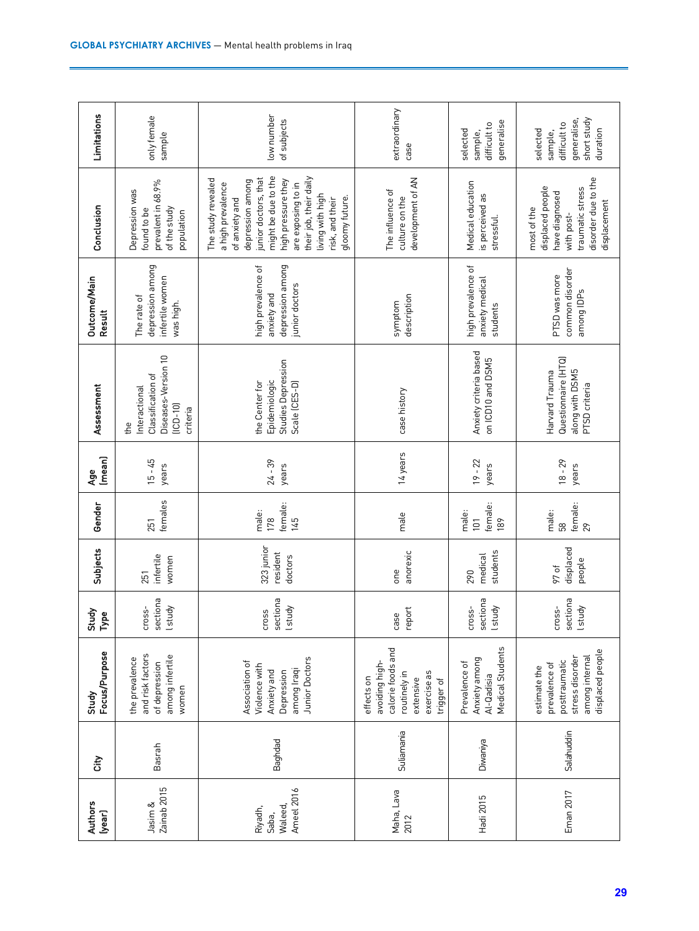| <b>Authors</b><br>(year) | City       | Focus/Purpose<br>Study                                                                                      | Study<br>Type                       | Subjects                          | Gender                         | (mean)<br>Åge      | Assessment                                                                                 | Outcome/Main<br><b>Result</b>                                           | Conclusion                                                                                                                                                                                                                                                  | Limitations                                                                   |
|--------------------------|------------|-------------------------------------------------------------------------------------------------------------|-------------------------------------|-----------------------------------|--------------------------------|--------------------|--------------------------------------------------------------------------------------------|-------------------------------------------------------------------------|-------------------------------------------------------------------------------------------------------------------------------------------------------------------------------------------------------------------------------------------------------------|-------------------------------------------------------------------------------|
| Zainab 2015              | Basrah     | and risk factors<br>among infertile<br>the prevalence<br>of depression<br>women                             | sectiona<br><b>Lstudy</b><br>cross- | infertile<br>women<br>251         | females<br>251                 | $15 - 45$<br>years | Diseases-Version 10<br>Classification of<br>Interactional<br>$[ICD-10]$<br>criteria<br>the | depression among<br>infertile women<br>The rate of<br>was high.         | prevalent in 68.9%<br>Depression was<br>of the study<br>found to be<br>population                                                                                                                                                                           | only female<br>sample                                                         |
| Ameel 2016               | Baghdad    | Junior Doctors<br>Association of<br>Violence with<br>among Iraqi<br>Anxiety and<br>Depression               | sectiona<br>lstudy<br>Cross         | 323 junior<br>resident<br>doctors | female:<br>male:<br>178<br>145 | $24 - 39$<br>years | Studies Depression<br>Epidemiologic<br>the Center for<br>Scale (CES-D)                     | depression among<br>high prevalence of<br>junior doctors<br>anxiety and | might be due to the<br>their job, their daily<br>junior doctors, that<br>The study revealed<br>high pressure they<br>depression among<br>are exposing to in<br>a high prevalence<br>living with high<br>gloomy future.<br>of anxiety and<br>risk, and their | low number<br>of subjects                                                     |
| Maha, Lava               | Suliamania | calorie foods and<br>avoiding high-<br>routinely in<br>exercise as<br>effects on<br>extensive<br>trigger of | report<br>case                      | anorexic<br>one                   | male                           | 14 years           | case history                                                                               | description<br>symptom                                                  | development of AN<br>The influence of<br>culture on the                                                                                                                                                                                                     | extraordinary<br>case                                                         |
| Hadi 2015                | Diwaniya   | Medical Students<br>Anxiety among<br>Prevalence of<br>Al-Qadisia                                            | sectiona<br>lstudy<br>cross-        | students<br>medical<br>290        | female:<br>male:<br>101<br>189 | $19 - 22$<br>years | Anxiety criteria based<br>on ICD10 and DSM5                                                | high prevalence of<br>anxiety medical<br>students                       | Medical education<br>is perceived as<br>stressful.                                                                                                                                                                                                          | generalise<br>difficult to<br>selected<br>sample,                             |
| Eman 2017                | Salahuddin | displaced people<br>among internal<br>stress disorder<br>posttraumatic<br>prevalence of<br>estimate the     | sectiona<br>lstudy<br>cross-        | displaced<br>people<br>97 of      | female:<br>male:<br>58<br>29   | $18 - 29$<br>years | Questionnaire [HTQ]<br>along with DSM5<br>Harvard Trauma<br>PTSD criteria                  | common disorder<br>PTSD was more<br>among IDPs                          | disorder due to the<br>displaced people<br>traumatic stress<br>have diagnosed<br>displacement<br>most of the<br>with post-                                                                                                                                  | short study<br>generalise,<br>difficult to<br>duration<br>selected<br>sample, |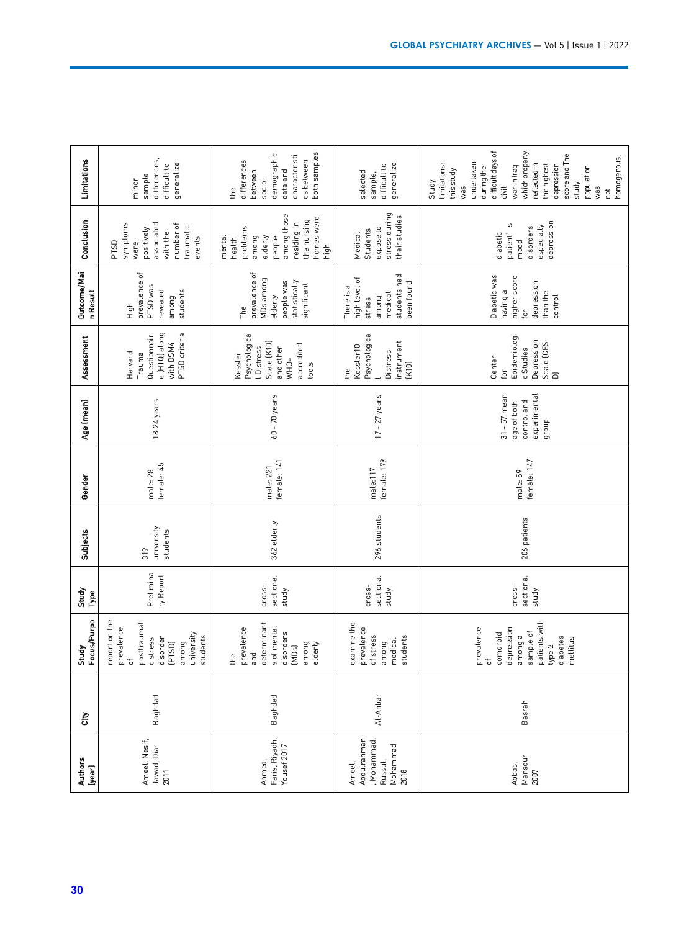| <b>Authors</b><br>(year)              | City     | Focus/Purpo<br>Study                                                                                                                             | Study<br>Type                | Subjects                      | Gender                   | Age (mean)                                                            | Assessment                                                                                             | Outcome/Mai<br>n Result                                                                    | Conclusion                                                                                                                    | Limitations                                                                                                                                                                                                                                             |
|---------------------------------------|----------|--------------------------------------------------------------------------------------------------------------------------------------------------|------------------------------|-------------------------------|--------------------------|-----------------------------------------------------------------------|--------------------------------------------------------------------------------------------------------|--------------------------------------------------------------------------------------------|-------------------------------------------------------------------------------------------------------------------------------|---------------------------------------------------------------------------------------------------------------------------------------------------------------------------------------------------------------------------------------------------------|
| Ameel, Nesif,<br>Jawad, Diar<br>2011  | Baghdad  | report on the<br>posttraumati<br>prevalence<br>university<br>students<br>disorder<br>c stress<br>among<br>(PTSD)<br>$\overleftarrow{\mathrm{o}}$ | Prelimina<br>ry Report       | university<br>students<br>319 | female: 45<br>male: 28   | 18-24 years                                                           | e (HTQ) along<br>PTSD criteria<br>Questionnair<br>with DSM4<br>Harvard<br>Trauma                       | prevalence of<br>PTSD was<br>students<br>revealed<br>among<br>High                         | associated<br>symptoms<br>number of<br>traumatic<br>positively<br>with the<br>events<br><b>PTSD</b><br>were                   | differences,<br>generalize<br>difficult to<br>sample<br>minor                                                                                                                                                                                           |
| Faris, Riyadh,<br>Yousef 2017         | Baghdad  | determinant<br>s of mental<br>prevalence<br>disorders<br>among<br>elderly<br>(MDs)<br>and<br>the                                                 | sectional<br>cross-<br>study | 362 elderly                   | female: 141<br>male: 221 | $60 - 70$ years                                                       | Psychologica<br>Scale (K10)<br>accredited<br><b>LDistress</b><br>and other<br>Kessler<br>WHO-<br>tools | prevalence of<br>MDs among<br>people was<br>statistically<br>significant<br>elderly<br>The | among those<br>homes were<br>the nursing<br>residing in<br>problems<br>mental<br>among<br>elderly<br>people<br>health<br>high | both samples<br>demographic<br>characteristi<br>cs between<br>differences<br>between<br>data and<br>socio-<br>the                                                                                                                                       |
| Abdulrahman<br>, Mohammad<br>Mohammad | Al-Anbar | examine the<br>prevalence<br>of stress<br>students<br>medical<br>among                                                                           | sectional<br>cross-<br>study | 296 students                  | female: 179<br>male:117  | $17 - 27$ years                                                       | Psychologica<br>instrument<br>Kessler <sub>10</sub><br><b>Distress</b><br>(K10)<br>the                 | students had<br>high level of<br>been found<br>There is a<br>medical<br>among<br>stress    | stress during<br>their studies<br>expose to<br>Students<br>Medical                                                            | generalize<br>difficult to<br>selected<br>sample,                                                                                                                                                                                                       |
|                                       | Basrah   | patients with<br>prevalence<br>of<br>depression<br>sample of<br>comorbid<br>among a<br>diabetes<br>mellitus<br>type 2                            | sectional<br>cross-<br>study | 206 patients                  | female: 147<br>male: 59  | $31 - 57$ mean<br>experimental<br>control and<br>age of both<br>dhoub | Epidemiologi<br>Depression<br>Scale (CES-<br>c Studies<br>Center<br>for<br>$\overline{a}$              | Diabetic was<br>higher score<br>depression<br>having a<br>than the<br>control<br>for       | depression<br>S<br>especially<br>disorders<br>diabetic<br>patient'<br>mood                                                    | difficult days of<br>which properly<br>score and The<br>homogenous,<br>undertaken<br>reflected in<br>the highest<br>limitations:<br>depression<br>war in Iraq<br>during the<br>population<br>this study<br>Study<br>study<br>was<br>civil<br>was<br>hot |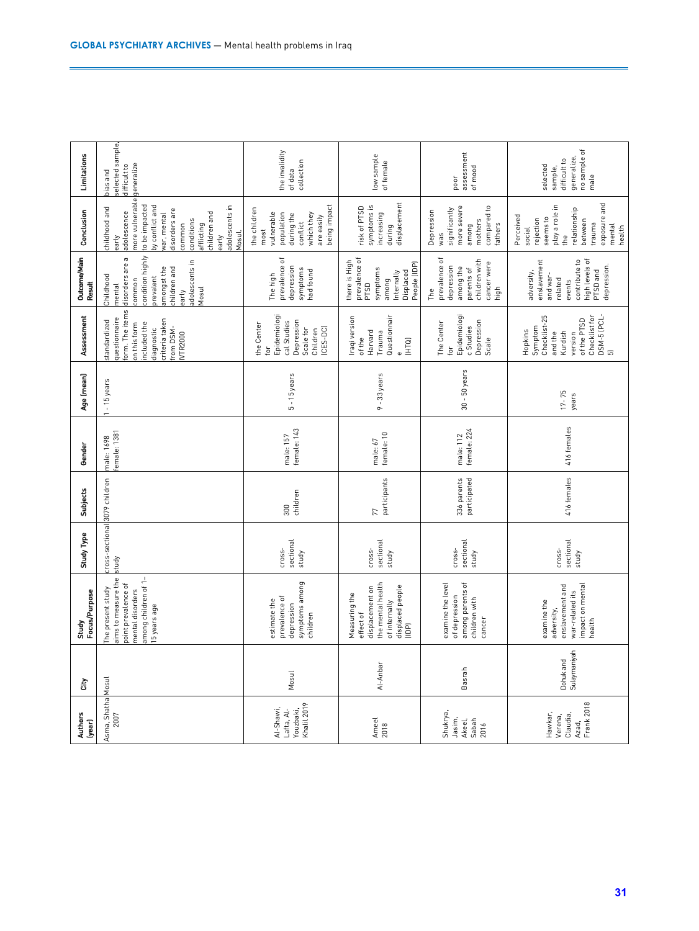|              | Study<br>Focus/Purpose                                                                                                             | <b>Study Type</b>                      | <b>Subjects</b>             | Gender                    | Age (mean)         | Assessment                                                                                                                                   | Outcome/Main<br><b>Result</b>                                                                                                                        | Conclusion                                                                                                                                                                                                               | Limitations                                                                |
|--------------|------------------------------------------------------------------------------------------------------------------------------------|----------------------------------------|-----------------------------|---------------------------|--------------------|----------------------------------------------------------------------------------------------------------------------------------------------|------------------------------------------------------------------------------------------------------------------------------------------------------|--------------------------------------------------------------------------------------------------------------------------------------------------------------------------------------------------------------------------|----------------------------------------------------------------------------|
|              | imong children of 1-<br>ims to measure the<br>oint prevalence of<br>he present study<br>mental disorders<br>5 years age            | cross-sectional 3079 children<br>study |                             | emale: 1381<br>male: 1698 | -15 years          | orm. The items<br>questionnaire<br>criteria taken<br>standardized<br>ncluded the<br>on this form<br>rom DSM-<br>liagnostic<br><b>VTR2000</b> | condition highly<br>disorders are a<br>adolescents in<br>children and<br>amongst the<br>Childhood<br>orevalent<br>common<br>mental<br>Mosul<br>early | more vulnerable<br>to be impacted<br>by conflict and<br>adolescents in<br>childhood and<br>disorders are<br>adolescence<br>children and<br>war, mental<br>conditions<br>common<br>afflicting<br>Mosul.<br>early<br>early | selected sample,<br>difficult to<br>generalize<br>bias and                 |
|              | symptoms among<br>prevalence of<br>estimate the<br>depression<br>children                                                          | sectional<br>cross-<br>study           | children<br>300             | female: 143<br>male: 157  | $5 - 15$ years     | Epidemiologi<br>cal Studies<br>Depression<br>the Center<br>Scale for<br>$(CES-DC)$<br>Children<br>.<br>Dr                                    | prevalence of<br>depression<br>symptoms<br>had found<br>The high                                                                                     | being impact<br>the children<br>vulnerable<br>population<br>which they<br>during the<br>are easily<br>conflict<br>most                                                                                                   | the invalidity<br>collection<br>of data                                    |
|              | the mental health<br>displaced people<br>displacement on<br>Measuring the<br>of internally<br>effect of<br>$\overline{\mathbb{B}}$ | sectional<br>cross-<br>study           | 77<br>participants          | female: 10<br>male: 67    | $9 - 33$ years     | Questionnair<br>Iraqi version<br>Harvard<br>Trauma<br>of the<br>E<br>$\omega$                                                                | prevalence of<br>there is High<br>People (IDP)<br>symptoms<br>Displaced<br>Internally<br>among<br>PT <sub>SD</sub>                                   | displacement<br>symptoms is<br>risk of PTSD<br>increasing<br>during                                                                                                                                                      | low sample<br>of female                                                    |
|              | among parents of<br>examine the level<br>of depression<br>children with<br>cancer                                                  | sectional<br>cross-<br>study           | 336 parents<br>participated | female: 224<br>male: 112  | $30 - 50$ years    | Epidemiologi<br>Depression<br>The Center<br>c Studies<br>Scale<br>for                                                                        | prevalence of<br>children with<br>cancer were<br>depression<br>among the<br>parents of<br>high<br>The                                                | more severe<br>compared to<br>significantly<br>Depression<br>mothers<br>fathers<br>among<br>was                                                                                                                          | assessment<br>of mood<br>poor                                              |
| Sulaymaniyah | impact on mental<br>enslavement and<br>war-related its<br>examine the<br>adversity,<br>health                                      | sectional<br>cross-<br>study           | 416 females                 | 416 females               | $17 - 75$<br>years | DSM-5 (PCL-<br>Checklist for<br>Checklist-25<br>of the PTSD<br>Symptom<br>Hopkins<br>and the<br>Kurdish<br>version<br>$\overline{5}$         | high levels of<br>enslavement<br>contribute to<br>depression.<br>PTSD and<br>adversity,<br>and war-<br>related<br>events                             | exposure and<br>play a role in<br>relationship<br>Perceived<br>seems to<br>rejection<br>between<br>trauma<br>mental<br>health<br>social<br>the                                                                           | no sample of<br>generalize,<br>difficult to<br>selected<br>sample,<br>male |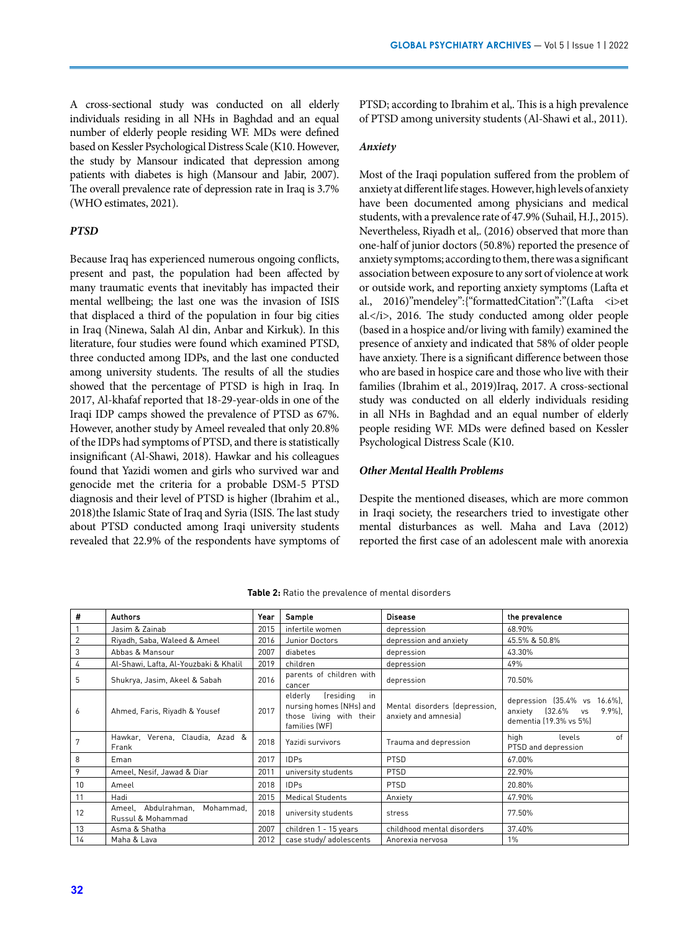A cross-sectional study was conducted on all elderly individuals residing in all NHs in Baghdad and an equal number of elderly people residing WF. MDs were defined based on Kessler Psychological Distress Scale (K10. However, the study by Mansour indicated that depression among patients with diabetes is high (Mansour and Jabir, 2007). The overall prevalence rate of depression rate in Iraq is 3.7% (WHO estimates, 2021).

# *PTSD*

Because Iraq has experienced numerous ongoing conflicts, present and past, the population had been affected by many traumatic events that inevitably has impacted their mental wellbeing; the last one was the invasion of ISIS that displaced a third of the population in four big cities in Iraq (Ninewa, Salah Al din, Anbar and Kirkuk). In this literature, four studies were found which examined PTSD, three conducted among IDPs, and the last one conducted among university students. The results of all the studies showed that the percentage of PTSD is high in Iraq. In 2017, Al-khafaf reported that 18-29-year-olds in one of the Iraqi IDP camps showed the prevalence of PTSD as 67%. However, another study by Ameel revealed that only 20.8% of the IDPs had symptoms of PTSD, and there is statistically insignificant (Al-Shawi, 2018). Hawkar and his colleagues found that Yazidi women and girls who survived war and genocide met the criteria for a probable DSM-5 PTSD diagnosis and their level of PTSD is higher (Ibrahim et al., 2018)the Islamic State of Iraq and Syria (ISIS. The last study about PTSD conducted among Iraqi university students revealed that 22.9% of the respondents have symptoms of

PTSD; according to Ibrahim et al,. This is a high prevalence of PTSD among university students (Al-Shawi et al., 2011).

#### *Anxiety*

Most of the Iraqi population suffered from the problem of anxiety at different life stages. However, high levels of anxiety have been documented among physicians and medical students, with a prevalence rate of 47.9% (Suhail, H.J., 2015). Nevertheless, Riyadh et al,. (2016) observed that more than one-half of junior doctors (50.8%) reported the presence of anxiety symptoms; according to them, there was a significant association between exposure to any sort of violence at work or outside work, and reporting anxiety symptoms (Lafta et al., 2016)"mendeley":{"formattedCitation":"(Lafta <i>et al.</i>, 2016. The study conducted among older people (based in a hospice and/or living with family) examined the presence of anxiety and indicated that 58% of older people have anxiety. There is a significant difference between those who are based in hospice care and those who live with their families (Ibrahim et al., 2019)Iraq, 2017. A cross-sectional study was conducted on all elderly individuals residing in all NHs in Baghdad and an equal number of elderly people residing WF. MDs were defined based on Kessler Psychological Distress Scale (K10.

#### *Other Mental Health Problems*

Despite the mentioned diseases, which are more common in Iraqi society, the researchers tried to investigate other mental disturbances as well. Maha and Lava (2012) reported the first case of an adolescent male with anorexia

| #              | <b>Authors</b>                                        | Year | Sample                                                                                            | <b>Disease</b>                                        | the prevalence                                                                                  |
|----------------|-------------------------------------------------------|------|---------------------------------------------------------------------------------------------------|-------------------------------------------------------|-------------------------------------------------------------------------------------------------|
|                | Jasim & Zainab                                        | 2015 | infertile women                                                                                   | depression                                            | 68.90%                                                                                          |
| $\overline{2}$ | Riyadh, Saba, Waleed & Ameel                          | 2016 | Junior Doctors                                                                                    | depression and anxiety                                | 45.5% & 50.8%                                                                                   |
| 3              | Abbas & Mansour                                       | 2007 | diabetes                                                                                          | depression                                            | 43.30%                                                                                          |
| 4              | Al-Shawi, Lafta, Al-Youzbaki & Khalil                 | 2019 | children                                                                                          | depression                                            | 49%                                                                                             |
| 5              | Shukrya, Jasim, Akeel & Sabah                         | 2016 | parents of children with<br>cancer                                                                | depression                                            | 70.50%                                                                                          |
| 6              | Ahmed, Faris, Riyadh & Yousef                         | 2017 | (residing<br>elderly<br>in<br>nursing homes (NHs) and<br>those living with their<br>families (WF) | Mental disorders (depression,<br>anxiety and amnesia) | depression (35.4% vs<br>$16.6\%$ ]<br>anxiety (32.6% vs<br>$9.9\%$ ].<br>dementia (19.3% vs 5%) |
| 7              | Hawkar, Verena, Claudia, Azad &<br>Frank              | 2018 | Yazidi survivors                                                                                  | Trauma and depression                                 | high<br>of<br>levels<br>PTSD and depression                                                     |
| 8              | Eman                                                  | 2017 | <b>IDPs</b>                                                                                       | <b>PTSD</b>                                           | 67.00%                                                                                          |
| 9              | Ameel, Nesif, Jawad & Diar                            | 2011 | university students                                                                               | <b>PTSD</b>                                           | 22.90%                                                                                          |
| 10             | Ameel                                                 | 2018 | <b>IDPs</b>                                                                                       | <b>PTSD</b>                                           | 20.80%                                                                                          |
| 11             | Hadi                                                  | 2015 | <b>Medical Students</b>                                                                           | Anxiety                                               | 47.90%                                                                                          |
| 12             | Ameel, Abdulrahman,<br>Mohammad.<br>Russul & Mohammad | 2018 | university students                                                                               | stress                                                | 77.50%                                                                                          |
| 13             | Asma & Shatha                                         | 2007 | children 1 - 15 years                                                                             | childhood mental disorders                            | 37.40%                                                                                          |
| 14             | Maha & Lava                                           | 2012 | case study/adolescents                                                                            | Anorexia nervosa                                      | 1%                                                                                              |

**Table 2:** Ratio the prevalence of mental disorders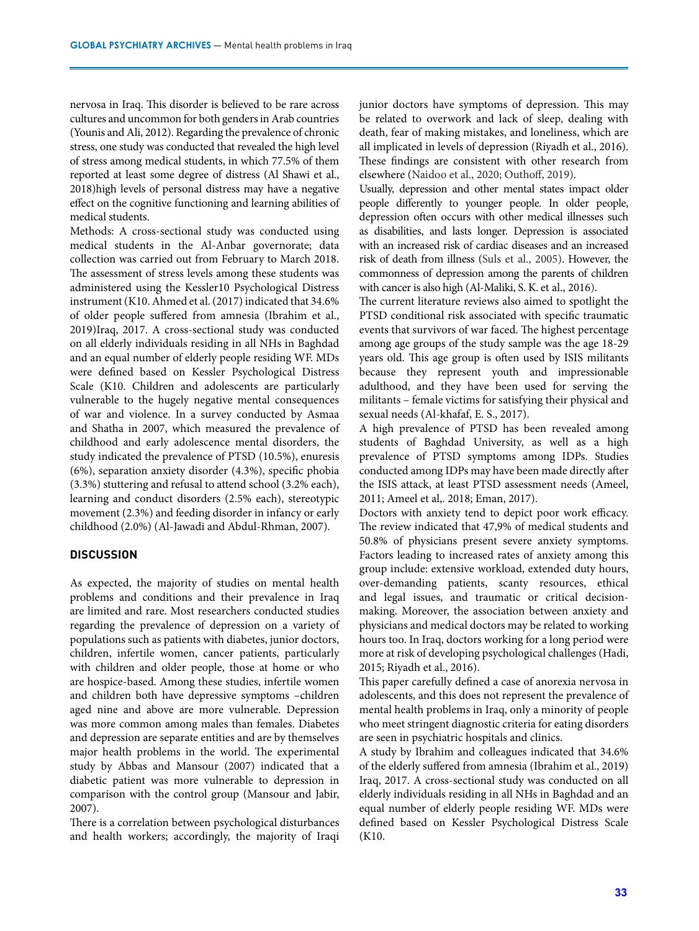nervosa in Iraq. This disorder is believed to be rare across cultures and uncommon for both genders in Arab countries (Younis and Ali, 2012). Regarding the prevalence of chronic stress, one study was conducted that revealed the high level of stress among medical students, in which 77.5% of them reported at least some degree of distress (Al Shawi et al., 2018)high levels of personal distress may have a negative effect on the cognitive functioning and learning abilities of medical students.

Methods: A cross-sectional study was conducted using medical students in the Al-Anbar governorate; data collection was carried out from February to March 2018. The assessment of stress levels among these students was administered using the Kessler10 Psychological Distress instrument (K10. Ahmed et al. (2017) indicated that 34.6% of older people suffered from amnesia (Ibrahim et al., 2019)Iraq, 2017. A cross-sectional study was conducted on all elderly individuals residing in all NHs in Baghdad and an equal number of elderly people residing WF. MDs were defined based on Kessler Psychological Distress Scale (K10. Children and adolescents are particularly vulnerable to the hugely negative mental consequences of war and violence. In a survey conducted by Asmaa and Shatha in 2007, which measured the prevalence of childhood and early adolescence mental disorders, the study indicated the prevalence of PTSD (10.5%), enuresis (6%), separation anxiety disorder (4.3%), specific phobia (3.3%) stuttering and refusal to attend school (3.2% each), learning and conduct disorders (2.5% each), stereotypic movement (2.3%) and feeding disorder in infancy or early childhood (2.0%) (Al-Jawadi and Abdul-Rhman, 2007).

# **DISCUSSION**

As expected, the majority of studies on mental health problems and conditions and their prevalence in Iraq are limited and rare. Most researchers conducted studies regarding the prevalence of depression on a variety of populations such as patients with diabetes, junior doctors, children, infertile women, cancer patients, particularly with children and older people, those at home or who are hospice-based. Among these studies, infertile women and children both have depressive symptoms –children aged nine and above are more vulnerable. Depression was more common among males than females. Diabetes and depression are separate entities and are by themselves major health problems in the world. The experimental study by Abbas and Mansour (2007) indicated that a diabetic patient was more vulnerable to depression in comparison with the control group (Mansour and Jabir, 2007).

There is a correlation between psychological disturbances and health workers; accordingly, the majority of Iraqi junior doctors have symptoms of depression. This may be related to overwork and lack of sleep, dealing with death, fear of making mistakes, and loneliness, which are all implicated in levels of depression (Riyadh et al., 2016). These findings are consistent with other research from elsewhere (Naidoo et al., 2020; Outhoff, 2019).

Usually, depression and other mental states impact older people differently to younger people. In older people, depression often occurs with other medical illnesses such as disabilities, and lasts longer. Depression is associated with an increased risk of cardiac diseases and an increased risk of death from illness (Suls et al., 2005). However, the commonness of depression among the parents of children with cancer is also high (Al-Maliki, S. K. et al., 2016).

The current literature reviews also aimed to spotlight the PTSD conditional risk associated with specific traumatic events that survivors of war faced. The highest percentage among age groups of the study sample was the age 18-29 years old. This age group is often used by ISIS militants because they represent youth and impressionable adulthood, and they have been used for serving the militants – female victims for satisfying their physical and sexual needs (Al-khafaf, E. S., 2017).

A high prevalence of PTSD has been revealed among students of Baghdad University, as well as a high prevalence of PTSD symptoms among IDPs. Studies conducted among IDPs may have been made directly after the ISIS attack, at least PTSD assessment needs (Ameel, 2011; Ameel et al,. 2018; Eman, 2017).

Doctors with anxiety tend to depict poor work efficacy. The review indicated that 47,9% of medical students and 50.8% of physicians present severe anxiety symptoms. Factors leading to increased rates of anxiety among this group include: extensive workload, extended duty hours, over-demanding patients, scanty resources, ethical and legal issues, and traumatic or critical decisionmaking. Moreover, the association between anxiety and physicians and medical doctors may be related to working hours too. In Iraq, doctors working for a long period were more at risk of developing psychological challenges (Hadi, 2015; Riyadh et al., 2016).

This paper carefully defined a case of anorexia nervosa in adolescents, and this does not represent the prevalence of mental health problems in Iraq, only a minority of people who meet stringent diagnostic criteria for eating disorders are seen in psychiatric hospitals and clinics.

A study by Ibrahim and colleagues indicated that 34.6% of the elderly suffered from amnesia (Ibrahim et al., 2019) Iraq, 2017. A cross-sectional study was conducted on all elderly individuals residing in all NHs in Baghdad and an equal number of elderly people residing WF. MDs were defined based on Kessler Psychological Distress Scale (K10.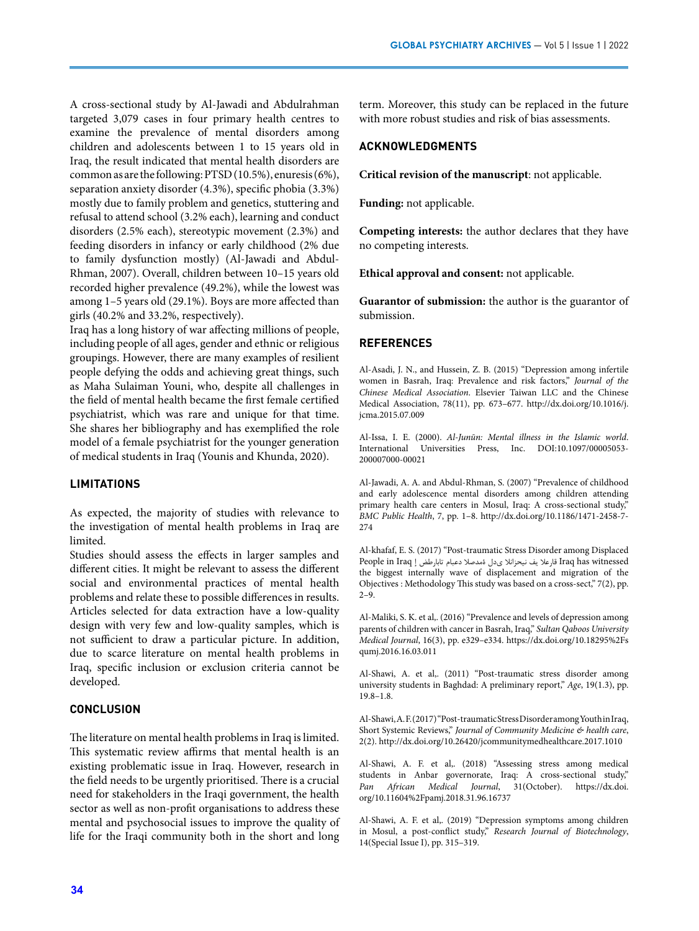A cross-sectional study by Al-Jawadi and Abdulrahman targeted 3,079 cases in four primary health centres to examine the prevalence of mental disorders among children and adolescents between 1 to 15 years old in Iraq, the result indicated that mental health disorders are common as are the following: PTSD (10.5%), enuresis (6%), separation anxiety disorder (4.3%), specific phobia (3.3%) mostly due to family problem and genetics, stuttering and refusal to attend school (3.2% each), learning and conduct disorders (2.5% each), stereotypic movement (2.3%) and feeding disorders in infancy or early childhood (2% due to family dysfunction mostly) (Al-Jawadi and Abdul-Rhman, 2007). Overall, children between 10–15 years old recorded higher prevalence (49.2%), while the lowest was among 1–5 years old (29.1%). Boys are more affected than girls (40.2% and 33.2%, respectively).

Iraq has a long history of war affecting millions of people, including people of all ages, gender and ethnic or religious groupings. However, there are many examples of resilient people defying the odds and achieving great things, such as Maha Sulaiman Youni, who, despite all challenges in the field of mental health became the first female certified psychiatrist, which was rare and unique for that time. She shares her bibliography and has exemplified the role model of a female psychiatrist for the younger generation of medical students in Iraq (Younis and Khunda, 2020).

## **LIMITATIONS**

As expected, the majority of studies with relevance to the investigation of mental health problems in Iraq are limited.

Studies should assess the effects in larger samples and different cities. It might be relevant to assess the different social and environmental practices of mental health problems and relate these to possible differences in results. Articles selected for data extraction have a low-quality design with very few and low-quality samples, which is not sufficient to draw a particular picture. In addition, due to scarce literature on mental health problems in Iraq, specific inclusion or exclusion criteria cannot be developed.

## **CONCLUSION**

The literature on mental health problems in Iraq is limited. This systematic review affirms that mental health is an existing problematic issue in Iraq. However, research in the field needs to be urgently prioritised. There is a crucial need for stakeholders in the Iraqi government, the health sector as well as non-profit organisations to address these mental and psychosocial issues to improve the quality of life for the Iraqi community both in the short and long term. Moreover, this study can be replaced in the future with more robust studies and risk of bias assessments.

# **ACKNOWLEDGMENTS**

**Critical revision of the manuscript**: not applicable.

**Funding:** not applicable.

**Competing interests:** the author declares that they have no competing interests.

**Ethical approval and consent:** not applicable.

**Guarantor of submission:** the author is the guarantor of submission.

## **REFERENCES**

Al-Asadi, J. N., and Hussein, Z. B. (2015) "Depression among infertile women in Basrah, Iraq: Prevalence and risk factors," *Journal of the Chinese Medical Association*. Elsevier Taiwan LLC and the Chinese Medical Association, 78(11), pp. 673–677. [http://dx.doi.org/10.1016/j.](http://dx.doi.org/10.1016/j.jcma.2015.07.009) [jcma.2015.07.009](http://dx.doi.org/10.1016/j.jcma.2015.07.009)

Al-Issa, I. E. (2000). *Al-Junūn: Mental illness in the Islamic world*. International Universities Press, Inc. DOI:[10.1097/00005053-](https://doi.org/10.1097/00005053-200007000-00021) [200007000-00021](https://doi.org/10.1097/00005053-200007000-00021)

Al-Jawadi, A. A. and Abdul-Rhman, S. (2007) "Prevalence of childhood and early adolescence mental disorders among children attending primary health care centers in Mosul, Iraq: A cross-sectional study," *BMC Public Health*, 7, pp. 1–8. [http://dx.doi.org/10.1186/1471-2458-7-](http://dx.doi.org/10.1186/1471-2458-7-274) [274](http://dx.doi.org/10.1186/1471-2458-7-274)

Al-khafaf, E. S. (2017) "Post-traumatic Stress Disorder among Displaced witnessed has Iraq قارعال يف نيحزانال ىدل ةمدصال دعبام تابارطض إ Iraq in People the biggest internally wave of displacement and migration of the Objectives : Methodology This study was based on a cross-sect," 7(2), pp.  $2-9.$ 

Al-Maliki, S. K. et al,. (2016) "Prevalence and levels of depression among parents of children with cancer in Basrah, Iraq," *Sultan Qaboos University Medical Journal*, 16(3), pp. e329–e334. [https://dx.doi.org/10.18295%2Fs](https://dx.doi.org/10.18295%2Fsqumj.2016.16.03.011) [qumj.2016.16.03.011](https://dx.doi.org/10.18295%2Fsqumj.2016.16.03.011)

Al-Shawi, A. et al,. (2011) "Post-traumatic stress disorder among university students in Baghdad: A preliminary report," *Age*, 19(1.3), pp. 19.8–1.8.

Al-Shawi, A. F. (2017) "Post-traumatic Stress Disorder among Youth in Iraq, Short Systemic Reviews," *Journal of Community Medicine & health care*, 2(2). http://dx.doi.org/10.26420/jcommunitymedhealthcare.2017.1010

Al-Shawi, A. F. et al,. (2018) "Assessing stress among medical students in Anbar governorate, Iraq: A cross-sectional study," *Pan African Medical Journal*, 31(October). [https://dx.doi.](https://dx.doi.org/10.11604%2Fpamj.2018.31.96.16737) [org/10.11604%2Fpamj.2018.31.96.16737](https://dx.doi.org/10.11604%2Fpamj.2018.31.96.16737)

Al-Shawi, A. F. et al,. (2019) "Depression symptoms among children in Mosul, a post-conflict study," *Research Journal of Biotechnology*, 14(Special Issue I), pp. 315–319.